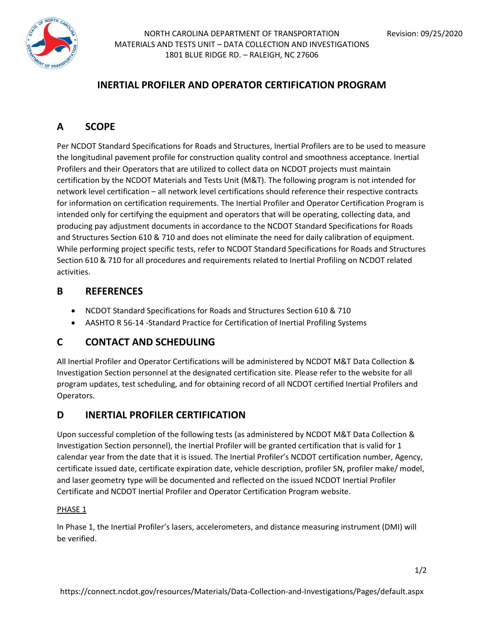



NORTH CAROLINA DEPARTMENT OF TRANSPORTATION Revision: 09/25/2020 MATERIALS AND TESTS UNIT – DATA COLLECTION AND INVESTIGATIONS 1801 BLUE RIDGE RD. – RALEIGH, NC 27606

## **INERTIAL PROFILER AND OPERATOR CERTIFICATION PROGRAM**

# **A SCOPE**

Per NCDOT Standard Specifications for Roads and Structures, Inertial Profilers are to be used to measure the longitudinal pavement profile for construction quality control and smoothness acceptance. Inertial Profilers and their Operators that are utilized to collect data on NCDOT projects must maintain certification by the NCDOT Materials and Tests Unit (M&T). The following program is not intended for network level certification – all network level certifications should reference their respective contracts for information on certification requirements. The Inertial Profiler and Operator Certification Program is intended only for certifying the equipment and operators that will be operating, collecting data, and producing pay adjustment documents in accordance to the NCDOT Standard Specifications for Roads and Structures Section 610 & 710 and does not eliminate the need for daily calibration of equipment. While performing project specific tests, refer to NCDOT Standard Specifications for Roads and Structures Section 610 & 710 for all procedures and requirements related to Inertial Profiling on NCDOT related activities.

### **B REFERENCES**

- NCDOT Standard Specifications for Roads and Structures Section 610 & 710
- AASHTO R 56-14 -Standard Practice for Certification of Inertial Profiling Systems

## **C CONTACT AND SCHEDULING**

All Inertial Profiler and Operator Certifications will be administered by NCDOT M&T Data Collection & Investigation Section personnel at the designated certification site. Please refer to the website for all program updates, test scheduling, and for obtaining record of all NCDOT certified Inertial Profilers and Operators.

### **D INERTIAL PROFILER CERTIFICATION**

Upon successful completion of the following tests (as administered by NCDOT M&T Data Collection & Investigation Section personnel), the Inertial Profiler will be granted certification that is valid for 1 calendar year from the date that it is issued. The Inertial Profiler's NCDOT certification number, Agency, certificate issued date, certificate expiration date, vehicle description, profiler SN, profiler make/ model, and laser geometry type will be documented and reflected on the issued NCDOT Inertial Profiler Certificate and NCDOT Inertial Profiler and Operator Certification Program website.

#### PHASE 1

In Phase 1, the Inertial Profiler's lasers, accelerometers, and distance measuring instrument (DMI) will be verified.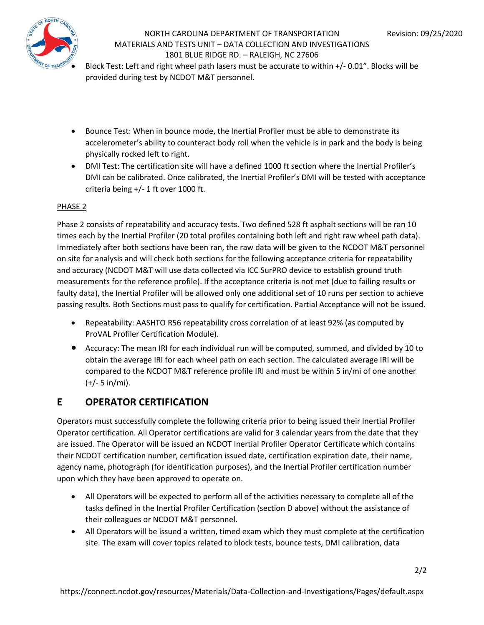

### NORTH CAROLINA DEPARTMENT OF TRANSPORTATION Revision: 09/25/2020 MATERIALS AND TESTS UNIT – DATA COLLECTION AND INVESTIGATIONS 1801 BLUE RIDGE RD. – RALEIGH, NC 27606

• Block Test: Left and right wheel path lasers must be accurate to within +/- 0.01". Blocks will be provided during test by NCDOT M&T personnel.

- Bounce Test: When in bounce mode, the Inertial Profiler must be able to demonstrate its accelerometer's ability to counteract body roll when the vehicle is in park and the body is being physically rocked left to right.
- DMI Test: The certification site will have a defined 1000 ft section where the Inertial Profiler's DMI can be calibrated. Once calibrated, the Inertial Profiler's DMI will be tested with acceptance criteria being +/- 1 ft over 1000 ft.

#### PHASE 2

Phase 2 consists of repeatability and accuracy tests. Two defined 528 ft asphalt sections will be ran 10 times each by the Inertial Profiler (20 total profiles containing both left and right raw wheel path data). Immediately after both sections have been ran, the raw data will be given to the NCDOT M&T personnel on site for analysis and will check both sections for the following acceptance criteria for repeatability and accuracy (NCDOT M&T will use data collected via ICC SurPRO device to establish ground truth measurements for the reference profile). If the acceptance criteria is not met (due to failing results or faulty data), the Inertial Profiler will be allowed only one additional set of 10 runs per section to achieve passing results. Both Sections must pass to qualify for certification. Partial Acceptance will not be issued.

- Repeatability: AASHTO R56 repeatability cross correlation of at least 92% (as computed by ProVAL Profiler Certification Module).
- Accuracy: The mean IRI for each individual run will be computed, summed, and divided by 10 to obtain the average IRI for each wheel path on each section. The calculated average IRI will be compared to the NCDOT M&T reference profile IRI and must be within 5 in/mi of one another (+/- 5 in/mi).

## **E OPERATOR CERTIFICATION**

Operators must successfully complete the following criteria prior to being issued their Inertial Profiler Operator certification. All Operator certifications are valid for 3 calendar years from the date that they are issued. The Operator will be issued an NCDOT Inertial Profiler Operator Certificate which contains their NCDOT certification number, certification issued date, certification expiration date, their name, agency name, photograph (for identification purposes), and the Inertial Profiler certification number upon which they have been approved to operate on.

- All Operators will be expected to perform all of the activities necessary to complete all of the tasks defined in the Inertial Profiler Certification (section D above) without the assistance of their colleagues or NCDOT M&T personnel.
- All Operators will be issued a written, timed exam which they must complete at the certification site. The exam will cover topics related to block tests, bounce tests, DMI calibration, data